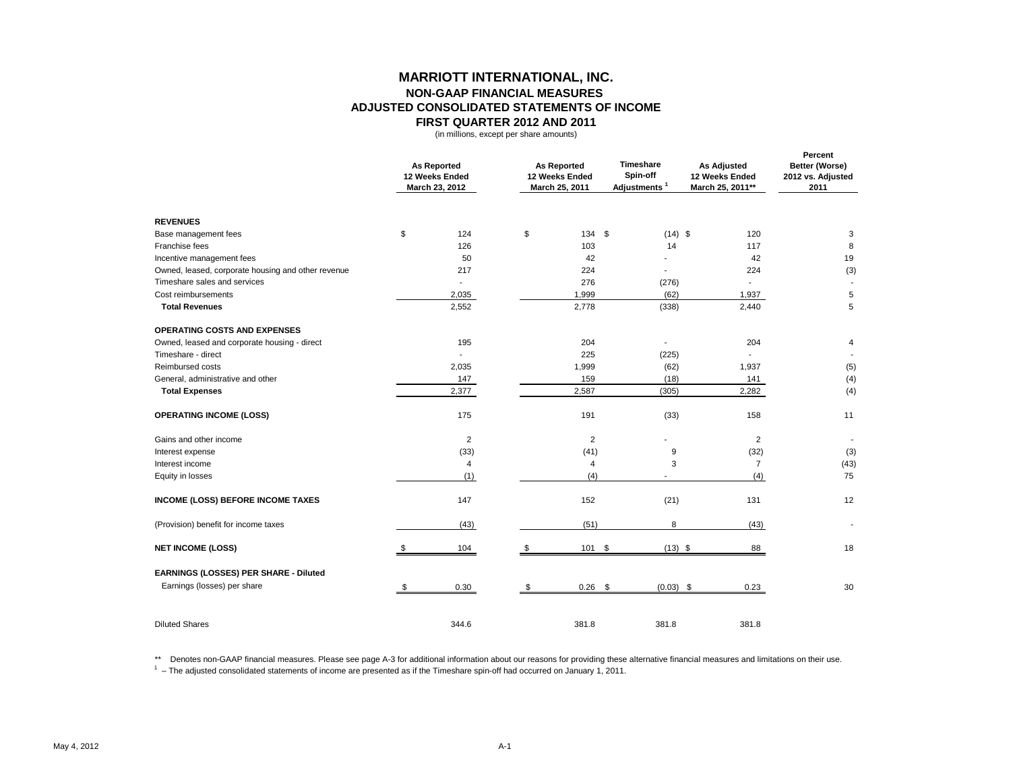## **MARRIOTT INTERNATIONAL, INC. NON-GAAP FINANCIAL MEASURES ADJUSTED CONSOLIDATED STATEMENTS OF INCOME FIRST QUARTER 2012 AND 2011**

(in millions, except per share amounts)

|                                                    | <b>As Reported</b><br>12 Weeks Ended<br>March 23, 2012 |                | <b>As Reported</b><br>12 Weeks Ended<br>March 25, 2011 | Timeshare<br>Spin-off<br>Adjustments <sup>1</sup> | <b>As Adjusted</b><br>12 Weeks Ended<br>March 25, 2011** | Percent<br>Better (Worse)<br>2012 vs. Adjusted<br>2011 |
|----------------------------------------------------|--------------------------------------------------------|----------------|--------------------------------------------------------|---------------------------------------------------|----------------------------------------------------------|--------------------------------------------------------|
| <b>REVENUES</b>                                    |                                                        |                |                                                        |                                                   |                                                          |                                                        |
| Base management fees                               | \$                                                     | 124            | \$<br>134 \$                                           | $(14)$ \$                                         | 120                                                      | 3                                                      |
| Franchise fees                                     |                                                        | 126            | 103                                                    | 14                                                | 117                                                      | 8                                                      |
| Incentive management fees                          |                                                        | 50             | 42                                                     | ۰                                                 | 42                                                       | 19                                                     |
| Owned, leased, corporate housing and other revenue |                                                        | 217            | 224                                                    |                                                   | 224                                                      | (3)                                                    |
| Timeshare sales and services                       |                                                        | ä,             | 276                                                    | (276)                                             | $\mathbf{r}$                                             | $\blacksquare$                                         |
| Cost reimbursements                                |                                                        | 2,035          | 1,999                                                  | (62)                                              | 1,937                                                    | 5                                                      |
| <b>Total Revenues</b>                              |                                                        | 2,552          | 2,778                                                  | (338)                                             | 2,440                                                    | 5                                                      |
| OPERATING COSTS AND EXPENSES                       |                                                        |                |                                                        |                                                   |                                                          |                                                        |
| Owned, leased and corporate housing - direct       |                                                        | 195            | 204                                                    |                                                   | 204                                                      | 4                                                      |
| Timeshare - direct                                 |                                                        |                | 225                                                    | (225)                                             | $\overline{\phantom{a}}$                                 |                                                        |
| Reimbursed costs                                   |                                                        | 2,035          | 1,999                                                  | (62)                                              | 1,937                                                    | (5)                                                    |
| General, administrative and other                  |                                                        | 147            | 159                                                    | (18)                                              | 141                                                      | (4)                                                    |
| <b>Total Expenses</b>                              |                                                        | 2,377          | 2,587                                                  | (305)                                             | 2,282                                                    | (4)                                                    |
| <b>OPERATING INCOME (LOSS)</b>                     |                                                        | 175            | 191                                                    | (33)                                              | 158                                                      | 11                                                     |
| Gains and other income                             |                                                        | $\overline{2}$ | $\overline{2}$                                         | $\blacksquare$                                    | 2                                                        |                                                        |
| Interest expense                                   |                                                        | (33)           | (41)                                                   | 9                                                 | (32)                                                     | (3)                                                    |
| Interest income                                    |                                                        | 4              | 4                                                      | 3                                                 | $\overline{7}$                                           | (43)                                                   |
| Equity in losses                                   |                                                        | (1)            | (4)                                                    |                                                   | (4)                                                      | 75                                                     |
| <b>INCOME (LOSS) BEFORE INCOME TAXES</b>           |                                                        | 147            | 152                                                    | (21)                                              | 131                                                      | 12                                                     |
| (Provision) benefit for income taxes               |                                                        | (43)           | (51)                                                   | 8                                                 | (43)                                                     |                                                        |
| <b>NET INCOME (LOSS)</b>                           | \$                                                     | 104            | \$<br>101 \$                                           | $(13)$ \$                                         | 88                                                       | 18                                                     |
| EARNINGS (LOSSES) PER SHARE - Diluted              |                                                        |                |                                                        |                                                   |                                                          |                                                        |
| Earnings (losses) per share                        | - \$                                                   | 0.30           | \$<br>$0.26$ \$                                        | $(0.03)$ \$                                       | 0.23                                                     | 30                                                     |
| <b>Diluted Shares</b>                              |                                                        | 344.6          | 381.8                                                  | 381.8                                             | 381.8                                                    |                                                        |

\*\* Denotes non-GAAP financial measures. Please see page A-3 for additional information about our reasons for providing these alternative financial measures and limitations on their use.

 $<sup>1</sup>$  – The adjusted consolidated statements of income are presented as if the Timeshare spin-off had occurred on January 1, 2011.</sup>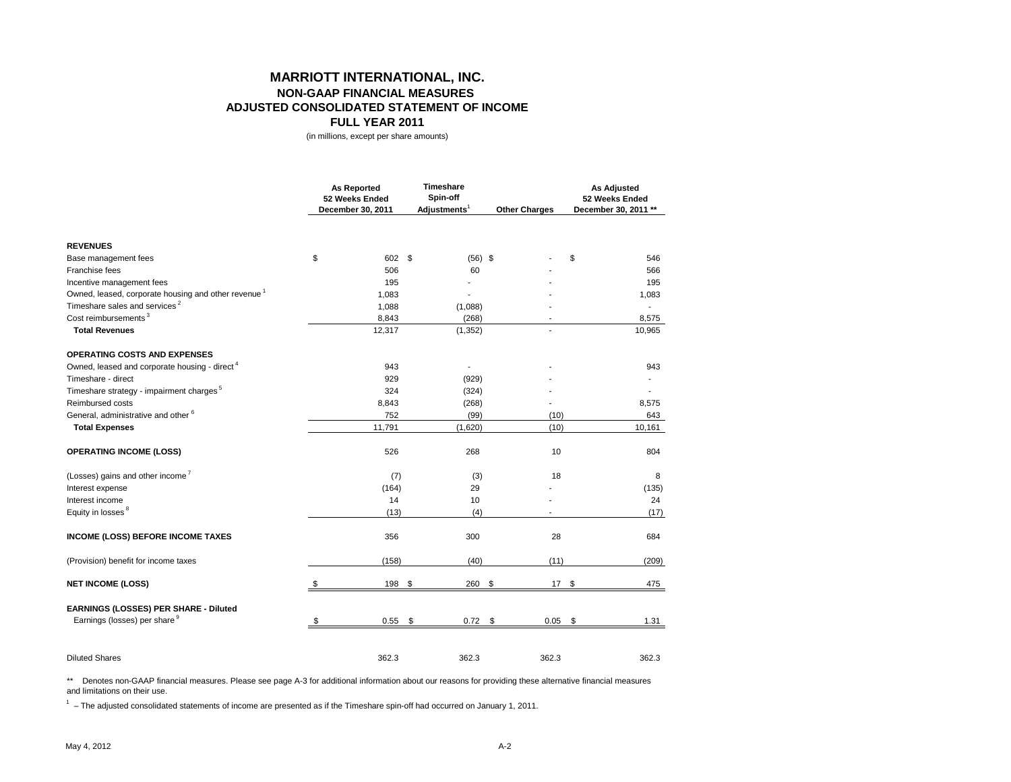## **MARRIOTT INTERNATIONAL, INC. NON-GAAP FINANCIAL MEASURES ADJUSTED CONSOLIDATED STATEMENT OF INCOME FULL YEAR 2011**

(in millions, except per share amounts)

|                                                                 | <b>As Reported</b><br>52 Weeks Ended<br>December 30, 2011 |        | Timeshare<br>Spin-off<br>Adjustments <sup>1</sup> |                | <b>Other Charges</b> |     | <b>As Adjusted</b><br>52 Weeks Ended<br>December 30, 2011 ** |  |
|-----------------------------------------------------------------|-----------------------------------------------------------|--------|---------------------------------------------------|----------------|----------------------|-----|--------------------------------------------------------------|--|
| <b>REVENUES</b>                                                 |                                                           |        |                                                   |                |                      |     |                                                              |  |
| Base management fees                                            | \$                                                        | 602 \$ |                                                   | $(56)$ \$      |                      | \$  | 546                                                          |  |
| Franchise fees                                                  |                                                           | 506    |                                                   | 60             |                      |     | 566                                                          |  |
| Incentive management fees                                       |                                                           | 195    |                                                   |                |                      |     | 195                                                          |  |
| Owned, leased, corporate housing and other revenue <sup>1</sup> |                                                           | 1,083  |                                                   | $\overline{a}$ |                      |     | 1,083                                                        |  |
| Timeshare sales and services <sup>2</sup>                       |                                                           | 1,088  |                                                   | (1,088)        |                      |     |                                                              |  |
| Cost reimbursements <sup>3</sup>                                |                                                           | 8,843  |                                                   | (268)          |                      |     | 8,575                                                        |  |
| <b>Total Revenues</b>                                           |                                                           | 12,317 |                                                   | (1, 352)       |                      |     | 10,965                                                       |  |
| <b>OPERATING COSTS AND EXPENSES</b>                             |                                                           |        |                                                   |                |                      |     |                                                              |  |
| Owned, leased and corporate housing - direct <sup>4</sup>       |                                                           | 943    |                                                   |                |                      |     | 943                                                          |  |
| Timeshare - direct                                              |                                                           | 929    |                                                   | (929)          |                      |     |                                                              |  |
| Timeshare strategy - impairment charges <sup>5</sup>            |                                                           | 324    |                                                   | (324)          |                      |     |                                                              |  |
| Reimbursed costs                                                |                                                           | 8,843  |                                                   | (268)          |                      |     | 8,575                                                        |  |
| General, administrative and other <sup>6</sup>                  |                                                           | 752    |                                                   | (99)           | (10)                 |     | 643                                                          |  |
| <b>Total Expenses</b>                                           |                                                           | 11,791 |                                                   | (1,620)        | (10)                 |     | 10,161                                                       |  |
| <b>OPERATING INCOME (LOSS)</b>                                  |                                                           | 526    |                                                   | 268            | 10                   |     | 804                                                          |  |
| (Losses) gains and other income <sup>7</sup>                    |                                                           | (7)    |                                                   | (3)            | 18                   |     | 8                                                            |  |
| Interest expense                                                |                                                           | (164)  |                                                   | 29             |                      |     | (135)                                                        |  |
| Interest income                                                 |                                                           | 14     |                                                   | 10             |                      |     | 24                                                           |  |
| Equity in losses <sup>8</sup>                                   |                                                           | (13)   |                                                   | (4)            |                      |     | (17)                                                         |  |
| <b>INCOME (LOSS) BEFORE INCOME TAXES</b>                        |                                                           | 356    |                                                   | 300            | 28                   |     | 684                                                          |  |
| (Provision) benefit for income taxes                            |                                                           | (158)  |                                                   | (40)           | (11)                 |     | (209)                                                        |  |
| <b>NET INCOME (LOSS)</b>                                        | \$                                                        | 198    | \$                                                | 260            | \$                   | 17S | 475                                                          |  |
| EARNINGS (LOSSES) PER SHARE - Diluted                           |                                                           |        |                                                   |                |                      |     |                                                              |  |
| Earnings (losses) per share 9                                   | \$                                                        | 0.55   | \$                                                | 0.72           | \$<br>0.05           | \$  | 1.31                                                         |  |
| <b>Diluted Shares</b>                                           |                                                           | 362.3  |                                                   | 362.3          | 362.3                |     | 362.3                                                        |  |

\*\* Denotes non-GAAP financial measures. Please see page A-3 for additional information about our reasons for providing these alternative financial measures and limitations on their use.

 $1 -$  The adjusted consolidated statements of income are presented as if the Timeshare spin-off had occurred on January 1, 2011.